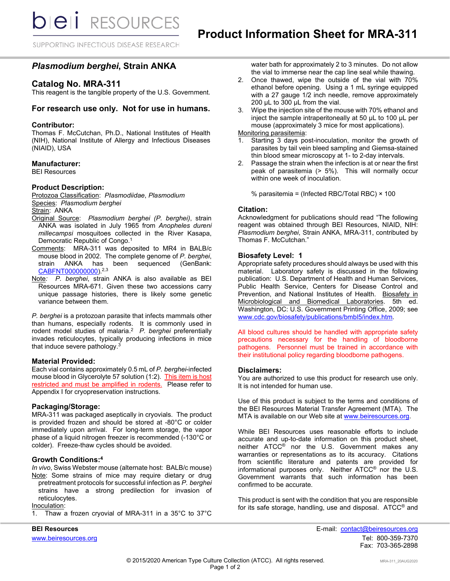**bieli** RESOURCES

SUPPORTING INFECTIOUS DISEASE RESEARCH

# *Plasmodium berghei***, Strain ANKA**

# **Catalog No. MRA-311**

This reagent is the tangible property of the U.S. Government.

### **For research use only. Not for use in humans.**

#### **Contributor:**

Thomas F. McCutchan, Ph.D., National Institutes of Health (NIH), National Institute of Allergy and Infectious Diseases (NIAID), USA

#### **Manufacturer:**

BEI Resources

### **Product Description:**

Protozoa Classification: *PIasmodiidae*, *Plasmodium* Species: *Plasmodium berghei*

Strain: ANKA

- Original Source: *Plasmodium berghei (P. berghei)*, strain ANKA was isolated in July 1965 from *Anopheles dureni millecampsi* mosquitoes collected in the River Kasapa, Democratic Republic of Congo.<sup>1</sup>
- Comments: MRA-311 was deposited to MR4 in BALB/c mouse blood in 2002. The complete genome of *P. berghei*, strain ANKA has been sequenced (GenBank: [CABFNT000000000\)](http://www.ncbi.nlm.nih.gov/nuccore/CABFNT000000000).<sup>2,3</sup>
- Note*: P. berghei*, strain ANKA is also available as BEI Resources MRA-671. Given these two accessions carry unique passage histories, there is likely some genetic variance between them.

*P. berghei* is a protozoan parasite that infects mammals other than humans, especially rodents. It is commonly used in rodent model studies of malaria.2 *P. berghei* preferentially invades reticulocytes, typically producing infections in mice that induce severe pathology.<sup>3</sup>

#### **Material Provided:**

Each vial contains approximately 0.5 mL of *P. berghei*-infected mouse blood in Glycerolyte 57 solution (1:2). This item is host restricted and must be amplified in rodents. Please refer to Appendix I for cryopreservation instructions.

# **Packaging/Storage:**

MRA-311 was packaged aseptically in cryovials. The product is provided frozen and should be stored at -80°C or colder immediately upon arrival. For long-term storage, the vapor phase of a liquid nitrogen freezer is recommended (-130°C or colder). Freeze-thaw cycles should be avoided.

# **Growth Conditions:4**

*In vivo*, Swiss Webster mouse (alternate host: BALB/c mouse) Note: Some strains of mice may require dietary or drug

- pretreatment protocols for successful infection as *P. berghei* strains have a strong predilection for invasion of reticulocytes.
- Inoculation:
- 1. Thaw a frozen cryovial of MRA-311 in a 35°C to 37°C

water bath for approximately 2 to 3 minutes. Do not allow the vial to immerse near the cap line seal while thawing.

- 2. Once thawed, wipe the outside of the vial with 70% ethanol before opening. Using a 1 mL syringe equipped with a 27 gauge 1/2 inch needle, remove approximately 200 µL to 300 µL from the vial.
- 3. Wipe the injection site of the mouse with 70% ethanol and inject the sample intraperitoneally at 50 µL to 100 µL per mouse (approximately 3 mice for most applications).

# Monitoring parasitemia:

- 1. Starting 3 days post-inoculation, monitor the growth of parasites by tail vein bleed sampling and Giemsa-stained thin blood smear microscopy at 1- to 2-day intervals.
- 2. Passage the strain when the infection is at or near the first peak of parasitemia (> 5%). This will normally occur within one week of inoculation.

% parasitemia = (Infected RBC/Total RBC) × 100

### **Citation:**

Acknowledgment for publications should read "The following reagent was obtained through BEI Resources, NIAID, NIH: *Plasmodium berghei*, Strain ANKA, MRA-311, contributed by Thomas F. McCutchan."

### **Biosafety Level: 1**

Appropriate safety procedures should always be used with this material. Laboratory safety is discussed in the following publication: U.S. Department of Health and Human Services, Public Health Service, Centers for Disease Control and Prevention, and National Institutes of Health. Biosafety in Microbiological and Biomedical Laboratories. 5th ed. Washington, DC: U.S. Government Printing Office, 2009; see [www.cdc.gov/biosafety/publications/bmbl5/index.htm.](http://www.cdc.gov/biosafety/publications/bmbl5/index.htm)

All blood cultures should be handled with appropriate safety precautions necessary for the handling of bloodborne pathogens. Personnel must be trained in accordance with their institutional policy regarding bloodborne pathogens.

#### **Disclaimers:**

You are authorized to use this product for research use only. It is not intended for human use.

Use of this product is subject to the terms and conditions of the BEI Resources Material Transfer Agreement (MTA). The MTA is available on our Web site at [www.beiresources.org.](http://www.beiresources.org/)

While BEI Resources uses reasonable efforts to include accurate and up-to-date information on this product sheet, neither ATCC® nor the U.S. Government makes any warranties or representations as to its accuracy. Citations from scientific literature and patents are provided for informational purposes only. Neither ATCC® nor the U.S. Government warrants that such information has been confirmed to be accurate.

This product is sent with the condition that you are responsible for its safe storage, handling, use and disposal. ATCC® and